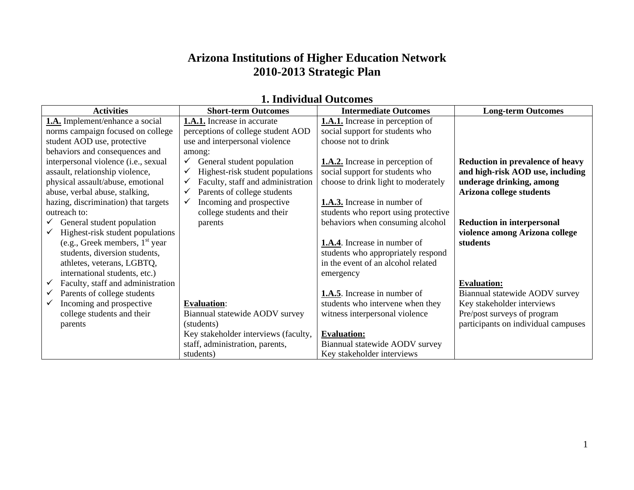## **Arizona Institutions of Higher Education Network 2010-2013 Strategic Plan**

| 1. Individual Outcomes                            |                                       |                                         |                                         |
|---------------------------------------------------|---------------------------------------|-----------------------------------------|-----------------------------------------|
| <b>Activities</b>                                 | <b>Short-term Outcomes</b>            | <b>Intermediate Outcomes</b>            | <b>Long-term Outcomes</b>               |
| <b>1.A.</b> Implement/enhance a social            | <b>1.A.1.</b> Increase in accurate    | <b>1.A.1.</b> Increase in perception of |                                         |
| norms campaign focused on college                 | perceptions of college student AOD    | social support for students who         |                                         |
| student AOD use, protective                       | use and interpersonal violence        | choose not to drink                     |                                         |
| behaviors and consequences and                    | among:                                |                                         |                                         |
| interpersonal violence (i.e., sexual              | General student population<br>✓       | <b>1.A.2.</b> Increase in perception of | <b>Reduction in prevalence of heavy</b> |
| assault, relationship violence,                   | Highest-risk student populations<br>✓ | social support for students who         | and high-risk AOD use, including        |
| physical assault/abuse, emotional                 | Faculty, staff and administration     | choose to drink light to moderately     | underage drinking, among                |
| abuse, verbal abuse, stalking,                    | Parents of college students<br>✓      |                                         | Arizona college students                |
| hazing, discrimination) that targets              | Incoming and prospective<br>✓         | <b>1.A.3.</b> Increase in number of     |                                         |
| outreach to:                                      | college students and their            | students who report using protective    |                                         |
| $\checkmark$ General student population           | parents                               | behaviors when consuming alcohol        | <b>Reduction in interpersonal</b>       |
| Highest-risk student populations                  |                                       |                                         | violence among Arizona college          |
| (e.g., Greek members, $1st$ year                  |                                       | <b>1.A.4</b> . Increase in number of    | students                                |
| students, diversion students,                     |                                       | students who appropriately respond      |                                         |
| athletes, veterans, LGBTQ,                        |                                       | in the event of an alcohol related      |                                         |
| international students, etc.)                     |                                       | emergency                               |                                         |
| Faculty, staff and administration<br>$\checkmark$ |                                       |                                         | <b>Evaluation:</b>                      |
| Parents of college students<br>$\checkmark$       |                                       | <b>1.A.5</b> . Increase in number of    | Biannual statewide AODV survey          |
| Incoming and prospective<br>$\checkmark$          | <b>Evaluation:</b>                    | students who intervene when they        | Key stakeholder interviews              |
| college students and their                        | Biannual statewide AODV survey        | witness interpersonal violence          | Pre/post surveys of program             |
| parents                                           | (students)                            |                                         | participants on individual campuses     |
|                                                   | Key stakeholder interviews (faculty,  | <b>Evaluation:</b>                      |                                         |
|                                                   | staff, administration, parents,       | Biannual statewide AODV survey          |                                         |

Key stakeholder interviews

students)

#### **1. Individual Outcomes**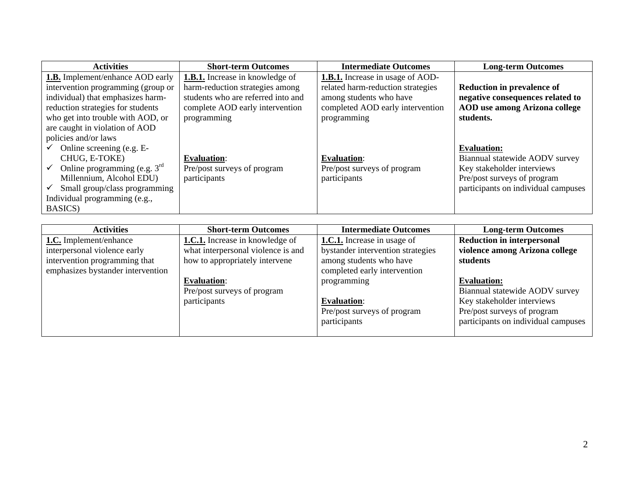| <b>Activities</b>                                          | <b>Short-term Outcomes</b>             | <b>Intermediate Outcomes</b>            | <b>Long-term Outcomes</b>            |
|------------------------------------------------------------|----------------------------------------|-----------------------------------------|--------------------------------------|
| <b>1.B.</b> Implement/enhance AOD early                    | <b>1.B.1.</b> Increase in knowledge of | <b>1.B.1.</b> Increase in usage of AOD- |                                      |
| intervention programming (group or                         | harm-reduction strategies among        | related harm-reduction strategies       | <b>Reduction in prevalence of</b>    |
| individual) that emphasizes harm-                          | students who are referred into and     | among students who have                 | negative consequences related to     |
| reduction strategies for students                          | complete AOD early intervention        | completed AOD early intervention        | <b>AOD</b> use among Arizona college |
| who get into trouble with AOD, or                          | programming                            | programming                             | students.                            |
| are caught in violation of AOD                             |                                        |                                         |                                      |
| policies and/or laws                                       |                                        |                                         |                                      |
| Online screening (e.g. E-                                  |                                        |                                         | <b>Evaluation:</b>                   |
| CHUG, E-TOKE)                                              | <b>Evaluation:</b>                     | <b>Evaluation:</b>                      | Biannual statewide AODV survey       |
| Online programming (e.g. $3^{\text{rd}}$ )<br>$\checkmark$ | Pre/post surveys of program            | Pre/post surveys of program             | Key stakeholder interviews           |
| Millennium, Alcohol EDU)                                   | participants                           | participants                            | Pre/post surveys of program          |
| Small group/class programming<br>$\checkmark$              |                                        |                                         | participants on individual campuses  |
| Individual programming (e.g.,                              |                                        |                                         |                                      |
| BASICS)                                                    |                                        |                                         |                                      |

| <b>Activities</b>                 | <b>Short-term Outcomes</b>             | <b>Intermediate Outcomes</b>       | <b>Long-term Outcomes</b>           |
|-----------------------------------|----------------------------------------|------------------------------------|-------------------------------------|
| <b>1.C.</b> Implement/enhance     | <b>1.C.1.</b> Increase in knowledge of | <b>1.C.1.</b> Increase in usage of | <b>Reduction in interpersonal</b>   |
| interpersonal violence early      | what interpersonal violence is and     | bystander intervention strategies  | violence among Arizona college      |
| intervention programming that     | how to appropriately intervene         | among students who have            | students                            |
| emphasizes bystander intervention |                                        | completed early intervention       |                                     |
|                                   | <b>Evaluation:</b>                     | programming                        | <b>Evaluation:</b>                  |
|                                   | Pre/post surveys of program            |                                    | Biannual statewide AODV survey      |
|                                   | participants                           | <b>Evaluation:</b>                 | Key stakeholder interviews          |
|                                   |                                        | Pre/post surveys of program        | Pre/post surveys of program         |
|                                   |                                        | participants                       | participants on individual campuses |
|                                   |                                        |                                    |                                     |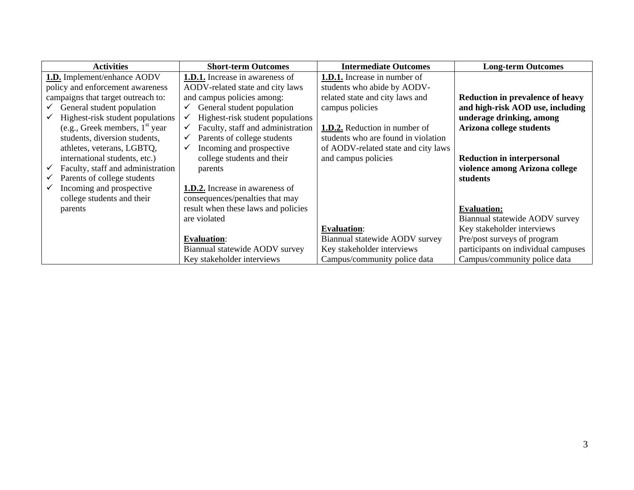| <b>Activities</b>                                 | <b>Short-term Outcomes</b>                        | <b>Intermediate Outcomes</b>         | <b>Long-term Outcomes</b>               |
|---------------------------------------------------|---------------------------------------------------|--------------------------------------|-----------------------------------------|
| <b>1.D.</b> Implement/enhance AODV                | <b>1.D.1.</b> Increase in awareness of            | <b>1.D.1.</b> Increase in number of  |                                         |
| policy and enforcement awareness                  | AODV-related state and city laws                  | students who abide by AODV-          |                                         |
| campaigns that target outreach to:                | and campus policies among:                        | related state and city laws and      | <b>Reduction in prevalence of heavy</b> |
| General student population                        | General student population                        | campus policies                      | and high-risk AOD use, including        |
| Highest-risk student populations<br>$\checkmark$  | Highest-risk student populations<br>✓             |                                      | underage drinking, among                |
| (e.g., Greek members, $1st$ year                  | Faculty, staff and administration<br>$\checkmark$ | <b>1.D.2.</b> Reduction in number of | Arizona college students                |
| students, diversion students,                     | Parents of college students<br>$\checkmark$       | students who are found in violation  |                                         |
| athletes, veterans, LGBTQ,                        | Incoming and prospective<br>✓                     | of AODV-related state and city laws  |                                         |
| international students, etc.)                     | college students and their                        | and campus policies                  | <b>Reduction in interpersonal</b>       |
| Faculty, staff and administration<br>$\checkmark$ | parents                                           |                                      | violence among Arizona college          |
| Parents of college students<br>$\checkmark$       |                                                   |                                      | students                                |
| Incoming and prospective                          | <b>1.D.2.</b> Increase in awareness of            |                                      |                                         |
| college students and their                        | consequences/penalties that may                   |                                      |                                         |
| parents                                           | result when these laws and policies               |                                      | <b>Evaluation:</b>                      |
|                                                   | are violated                                      |                                      | Biannual statewide AODV survey          |
|                                                   |                                                   | <b>Evaluation:</b>                   | Key stakeholder interviews              |
|                                                   | <b>Evaluation:</b>                                | Biannual statewide AODV survey       | Pre/post surveys of program             |
|                                                   | Biannual statewide AODV survey                    | Key stakeholder interviews           | participants on individual campuses     |
|                                                   | Key stakeholder interviews                        | Campus/community police data         | Campus/community police data            |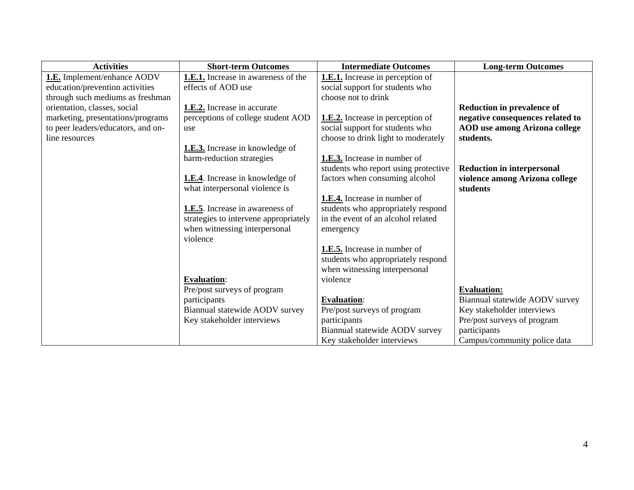| <b>Activities</b>                  | <b>Short-term Outcomes</b>              | <b>Intermediate Outcomes</b>            | <b>Long-term Outcomes</b>            |
|------------------------------------|-----------------------------------------|-----------------------------------------|--------------------------------------|
| 1.E. Implement/enhance AODV        | 1.E.1. Increase in awareness of the     | <b>1.E.1.</b> Increase in perception of |                                      |
| education/prevention activities    | effects of AOD use                      | social support for students who         |                                      |
| through such mediums as freshman   |                                         | choose not to drink                     |                                      |
| orientation, classes, social       | 1.E.2. Increase in accurate             |                                         | <b>Reduction in prevalence of</b>    |
| marketing, presentations/programs  | perceptions of college student AOD      | <b>1.E.2.</b> Increase in perception of | negative consequences related to     |
| to peer leaders/educators, and on- | use                                     | social support for students who         | <b>AOD</b> use among Arizona college |
| line resources                     |                                         | choose to drink light to moderately     | students.                            |
|                                    | <b>1.E.3.</b> Increase in knowledge of  |                                         |                                      |
|                                    | harm-reduction strategies               | <b>1.E.3.</b> Increase in number of     |                                      |
|                                    |                                         | students who report using protective    | <b>Reduction in interpersonal</b>    |
|                                    | <b>1.E.4</b> . Increase in knowledge of | factors when consuming alcohol          | violence among Arizona college       |
|                                    | what interpersonal violence is          |                                         | students                             |
|                                    |                                         | 1.E.4. Increase in number of            |                                      |
|                                    | <b>1.E.5</b> . Increase in awareness of | students who appropriately respond      |                                      |
|                                    | strategies to intervene appropriately   | in the event of an alcohol related      |                                      |
|                                    | when witnessing interpersonal           | emergency                               |                                      |
|                                    | violence                                |                                         |                                      |
|                                    |                                         | 1.E.5. Increase in number of            |                                      |
|                                    |                                         | students who appropriately respond      |                                      |
|                                    |                                         | when witnessing interpersonal           |                                      |
|                                    | <b>Evaluation:</b>                      | violence                                |                                      |
|                                    | Pre/post surveys of program             |                                         | <b>Evaluation:</b>                   |
|                                    | participants                            | <b>Evaluation:</b>                      | Biannual statewide AODV survey       |
|                                    | Biannual statewide AODV survey          | Pre/post surveys of program             | Key stakeholder interviews           |
|                                    | Key stakeholder interviews              | participants                            | Pre/post surveys of program          |
|                                    |                                         | Biannual statewide AODV survey          | participants                         |
|                                    |                                         | Key stakeholder interviews              | Campus/community police data         |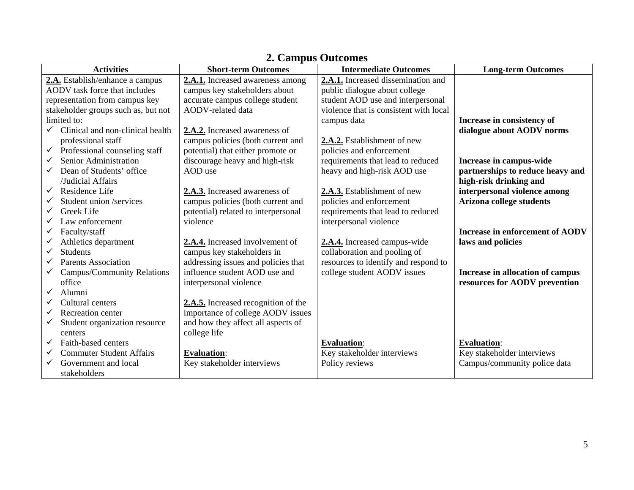| <b>Activities</b>                             | <b>Short-term Outcomes</b>          | <b>Intermediate Outcomes</b>           | <b>Long-term Outcomes</b>              |
|-----------------------------------------------|-------------------------------------|----------------------------------------|----------------------------------------|
| 2.A. Establish/enhance a campus               | 2.A.1. Increased awareness among    | 2.A.1. Increased dissemination and     |                                        |
| AODV task force that includes                 | campus key stakeholders about       | public dialogue about college          |                                        |
| representation from campus key                | accurate campus college student     | student AOD use and interpersonal      |                                        |
| stakeholder groups such as, but not           | AODV-related data                   | violence that is consistent with local |                                        |
| limited to:                                   |                                     | campus data                            | Increase in consistency of             |
| Clinical and non-clinical health              | 2.A.2. Increased awareness of       |                                        | dialogue about AODV norms              |
| professional staff                            | campus policies (both current and   | 2.A.2. Establishment of new            |                                        |
| Professional counseling staff<br>$\checkmark$ | potential) that either promote or   | policies and enforcement               |                                        |
| Senior Administration<br>$\checkmark$         | discourage heavy and high-risk      | requirements that lead to reduced      | Increase in campus-wide                |
| Dean of Students' office<br>$\checkmark$      | AOD use                             | heavy and high-risk AOD use            | partnerships to reduce heavy and       |
| /Judicial Affairs                             |                                     |                                        | high-risk drinking and                 |
| Residence Life<br>$\checkmark$                | 2.A.3. Increased awareness of       | 2.A.3. Establishment of new            | interpersonal violence among           |
| Student union /services<br>✓                  | campus policies (both current and   | policies and enforcement               | Arizona college students               |
| Greek Life                                    | potential) related to interpersonal | requirements that lead to reduced      |                                        |
| Law enforcement                               | violence                            | interpersonal violence                 |                                        |
| Faculty/staff                                 |                                     |                                        | <b>Increase in enforcement of AODV</b> |
| Athletics department                          | 2.A.4. Increased involvement of     | 2.A.4. Increased campus-wide           | laws and policies                      |
| <b>Students</b><br>✓                          | campus key stakeholders in          | collaboration and pooling of           |                                        |
| Parents Association                           | addressing issues and policies that | resources to identify and respond to   |                                        |
| Campus/Community Relations<br>✓               | influence student AOD use and       | college student AODV issues            | Increase in allocation of campus       |
| office                                        | interpersonal violence              |                                        | resources for AODV prevention          |
| Alumni<br>✓                                   |                                     |                                        |                                        |
| Cultural centers                              | 2.A.5. Increased recognition of the |                                        |                                        |
| Recreation center<br>✓                        | importance of college AODV issues   |                                        |                                        |
| Student organization resource                 | and how they affect all aspects of  |                                        |                                        |
| centers                                       | college life                        |                                        |                                        |
| Faith-based centers<br>✓                      |                                     | <b>Evaluation:</b>                     | <b>Evaluation:</b>                     |
| <b>Commuter Student Affairs</b>               | <b>Evaluation:</b>                  | Key stakeholder interviews             | Key stakeholder interviews             |
| Government and local                          | Key stakeholder interviews          | Policy reviews                         | Campus/community police data           |
| stakeholders                                  |                                     |                                        |                                        |

### **2. Campus Outcomes**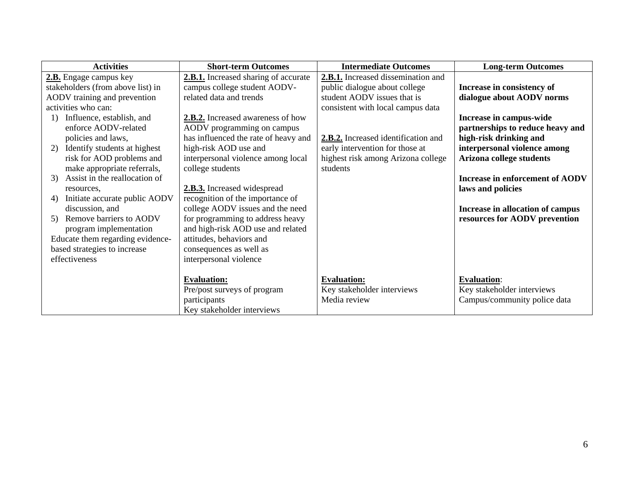| <b>Activities</b>                   | <b>Short-term Outcomes</b>           | <b>Intermediate Outcomes</b>        | <b>Long-term Outcomes</b>        |
|-------------------------------------|--------------------------------------|-------------------------------------|----------------------------------|
| 2.B. Engage campus key              | 2.B.1. Increased sharing of accurate | 2.B.1. Increased dissemination and  |                                  |
| stakeholders (from above list) in   | campus college student AODV-         | public dialogue about college       | Increase in consistency of       |
| AODV training and prevention        | related data and trends              | student AODV issues that is         | dialogue about AODV norms        |
| activities who can:                 |                                      | consistent with local campus data   |                                  |
| Influence, establish, and<br>1)     | 2.B.2. Increased awareness of how    |                                     | Increase in campus-wide          |
| enforce AODV-related                | AODV programming on campus           |                                     | partnerships to reduce heavy and |
| policies and laws,                  | has influenced the rate of heavy and | 2.B.2. Increased identification and | high-risk drinking and           |
| 2) Identify students at highest     | high-risk AOD use and                | early intervention for those at     | interpersonal violence among     |
| risk for AOD problems and           | interpersonal violence among local   | highest risk among Arizona college  | Arizona college students         |
| make appropriate referrals,         | college students                     | students                            |                                  |
| 3) Assist in the reallocation of    |                                      |                                     | Increase in enforcement of AODV  |
| resources.                          | 2.B.3. Increased widespread          |                                     | laws and policies                |
| Initiate accurate public AODV<br>4) | recognition of the importance of     |                                     |                                  |
| discussion, and                     | college AODV issues and the need     |                                     | Increase in allocation of campus |
| 5) Remove barriers to AODV          | for programming to address heavy     |                                     | resources for AODV prevention    |
| program implementation              | and high-risk AOD use and related    |                                     |                                  |
| Educate them regarding evidence-    | attitudes, behaviors and             |                                     |                                  |
| based strategies to increase        | consequences as well as              |                                     |                                  |
| effectiveness                       | interpersonal violence               |                                     |                                  |
|                                     |                                      |                                     |                                  |
|                                     | <b>Evaluation:</b>                   | <b>Evaluation:</b>                  | <b>Evaluation:</b>               |
|                                     | Pre/post surveys of program          | Key stakeholder interviews          | Key stakeholder interviews       |
|                                     | participants                         | Media review                        | Campus/community police data     |
|                                     | Key stakeholder interviews           |                                     |                                  |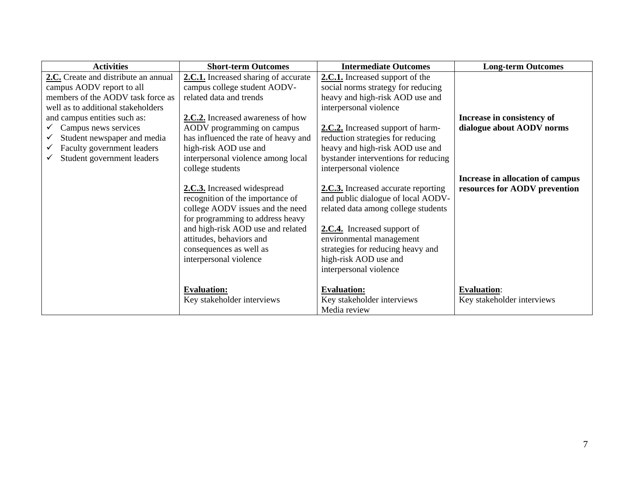| <b>Activities</b>                    | <b>Short-term Outcomes</b>           | <b>Intermediate Outcomes</b>         | <b>Long-term Outcomes</b>        |
|--------------------------------------|--------------------------------------|--------------------------------------|----------------------------------|
| 2.C. Create and distribute an annual | 2.C.1. Increased sharing of accurate | 2.C.1. Increased support of the      |                                  |
| campus AODV report to all            | campus college student AODV-         | social norms strategy for reducing   |                                  |
| members of the AODV task force as    | related data and trends              | heavy and high-risk AOD use and      |                                  |
| well as to additional stakeholders   |                                      | interpersonal violence               |                                  |
| and campus entities such as:         | 2.C.2. Increased awareness of how    |                                      | Increase in consistency of       |
| Campus news services                 | AODV programming on campus           | 2.C.2. Increased support of harm-    | dialogue about AODV norms        |
| Student newspaper and media          | has influenced the rate of heavy and | reduction strategies for reducing    |                                  |
| Faculty government leaders           | high-risk AOD use and                | heavy and high-risk AOD use and      |                                  |
| Student government leaders           | interpersonal violence among local   | bystander interventions for reducing |                                  |
|                                      | college students                     | interpersonal violence               |                                  |
|                                      |                                      |                                      | Increase in allocation of campus |
|                                      | 2.C.3. Increased widespread          | 2.C.3. Increased accurate reporting  | resources for AODV prevention    |
|                                      | recognition of the importance of     | and public dialogue of local AODV-   |                                  |
|                                      | college AODV issues and the need     | related data among college students  |                                  |
|                                      | for programming to address heavy     |                                      |                                  |
|                                      | and high-risk AOD use and related    | 2.C.4. Increased support of          |                                  |
|                                      | attitudes, behaviors and             | environmental management             |                                  |
|                                      | consequences as well as              | strategies for reducing heavy and    |                                  |
|                                      | interpersonal violence               | high-risk AOD use and                |                                  |
|                                      |                                      | interpersonal violence               |                                  |
|                                      |                                      |                                      |                                  |
|                                      | <b>Evaluation:</b>                   | <b>Evaluation:</b>                   | <b>Evaluation:</b>               |
|                                      | Key stakeholder interviews           | Key stakeholder interviews           | Key stakeholder interviews       |
|                                      |                                      | Media review                         |                                  |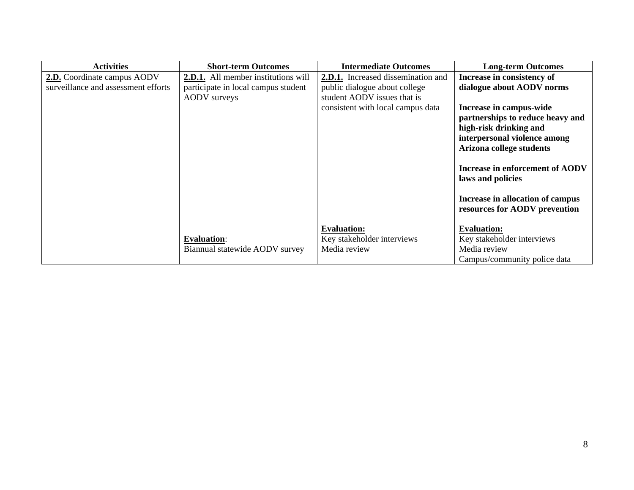| <b>Activities</b>                   | <b>Short-term Outcomes</b>                 | <b>Intermediate Outcomes</b>              | <b>Long-term Outcomes</b>        |
|-------------------------------------|--------------------------------------------|-------------------------------------------|----------------------------------|
| 2.D. Coordinate campus AODV         | <b>2.D.1.</b> All member institutions will | <b>2.D.1.</b> Increased dissemination and | Increase in consistency of       |
| surveillance and assessment efforts | participate in local campus student        | public dialogue about college             | dialogue about AODV norms        |
|                                     | AODV surveys                               | student AODV issues that is               |                                  |
|                                     |                                            | consistent with local campus data         | Increase in campus-wide          |
|                                     |                                            |                                           | partnerships to reduce heavy and |
|                                     |                                            |                                           | high-risk drinking and           |
|                                     |                                            |                                           | interpersonal violence among     |
|                                     |                                            |                                           | Arizona college students         |
|                                     |                                            |                                           |                                  |
|                                     |                                            |                                           | Increase in enforcement of AODV  |
|                                     |                                            |                                           | laws and policies                |
|                                     |                                            |                                           |                                  |
|                                     |                                            |                                           | Increase in allocation of campus |
|                                     |                                            |                                           | resources for AODV prevention    |
|                                     |                                            |                                           |                                  |
|                                     |                                            | <b>Evaluation:</b>                        | <b>Evaluation:</b>               |
|                                     | <b>Evaluation:</b>                         | Key stakeholder interviews                | Key stakeholder interviews       |
|                                     | Biannual statewide AODV survey             | Media review                              | Media review                     |
|                                     |                                            |                                           | Campus/community police data     |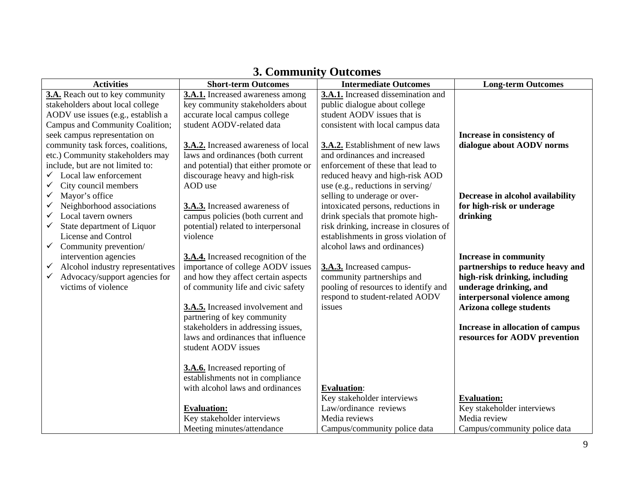| <b>Activities</b>                                | <b>Short-term Outcomes</b>            | <b>Intermediate Outcomes</b>           | <b>Long-term Outcomes</b>        |
|--------------------------------------------------|---------------------------------------|----------------------------------------|----------------------------------|
| 3.A. Reach out to key community                  | 3.A.1. Increased awareness among      | 3.A.1. Increased dissemination and     |                                  |
| stakeholders about local college                 | key community stakeholders about      | public dialogue about college          |                                  |
| AODV use issues (e.g., establish a               | accurate local campus college         | student AODV issues that is            |                                  |
| Campus and Community Coalition;                  | student AODV-related data             | consistent with local campus data      |                                  |
| seek campus representation on                    |                                       |                                        | Increase in consistency of       |
| community task forces, coalitions,               | 3.A.2. Increased awareness of local   | 3.A.2. Establishment of new laws       | dialogue about AODV norms        |
| etc.) Community stakeholders may                 | laws and ordinances (both current     | and ordinances and increased           |                                  |
| include, but are not limited to:                 | and potential) that either promote or | enforcement of these that lead to      |                                  |
| Local law enforcement<br>$\checkmark$            | discourage heavy and high-risk        | reduced heavy and high-risk AOD        |                                  |
| City council members<br>$\checkmark$             | AOD use                               | use (e.g., reductions in serving/      |                                  |
| $\checkmark$<br>Mayor's office                   |                                       | selling to underage or over-           | Decrease in alcohol availability |
| Neighborhood associations<br>✓                   | 3.A.3. Increased awareness of         | intoxicated persons, reductions in     | for high-risk or underage        |
| Local tavern owners<br>✓                         | campus policies (both current and     | drink specials that promote high-      | drinking                         |
| State department of Liquor<br>✓                  | potential) related to interpersonal   | risk drinking, increase in closures of |                                  |
| License and Control                              | violence                              | establishments in gross violation of   |                                  |
| Community prevention/<br>$\checkmark$            |                                       | alcohol laws and ordinances)           |                                  |
| intervention agencies                            | 3.A.4. Increased recognition of the   |                                        | <b>Increase in community</b>     |
| Alcohol industry representatives<br>$\checkmark$ | importance of college AODV issues     | 3.A.3. Increased campus-               | partnerships to reduce heavy and |
| Advocacy/support agencies for<br>$\checkmark$    | and how they affect certain aspects   | community partnerships and             | high-risk drinking, including    |
| victims of violence                              | of community life and civic safety    | pooling of resources to identify and   | underage drinking, and           |
|                                                  |                                       | respond to student-related AODV        | interpersonal violence among     |
|                                                  | 3.A.5. Increased involvement and      | issues                                 | <b>Arizona college students</b>  |
|                                                  | partnering of key community           |                                        |                                  |
|                                                  | stakeholders in addressing issues,    |                                        | Increase in allocation of campus |
|                                                  | laws and ordinances that influence    |                                        | resources for AODV prevention    |
|                                                  | student AODV issues                   |                                        |                                  |
|                                                  |                                       |                                        |                                  |
|                                                  | 3.A.6. Increased reporting of         |                                        |                                  |
|                                                  | establishments not in compliance      |                                        |                                  |
|                                                  | with alcohol laws and ordinances      | <b>Evaluation:</b>                     |                                  |
|                                                  |                                       | Key stakeholder interviews             | <b>Evaluation:</b>               |
|                                                  | <b>Evaluation:</b>                    | Law/ordinance reviews                  | Key stakeholder interviews       |
|                                                  | Key stakeholder interviews            | Media reviews                          | Media review                     |
|                                                  | Meeting minutes/attendance            | Campus/community police data           | Campus/community police data     |

# **3. Community Outcomes**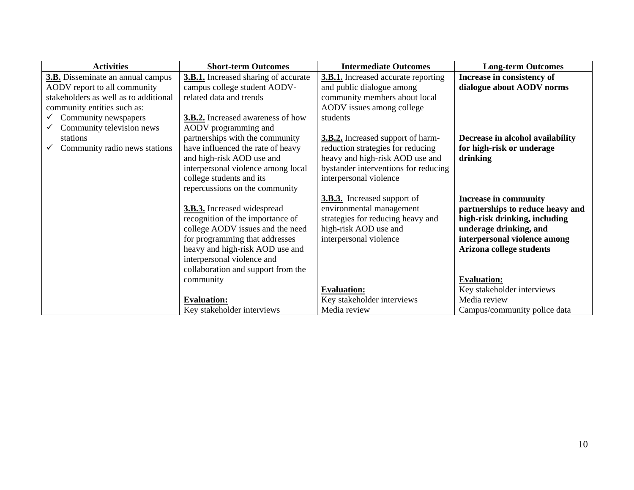| <b>Activities</b>                        | <b>Short-term Outcomes</b>                  | <b>Intermediate Outcomes</b>               | <b>Long-term Outcomes</b>        |
|------------------------------------------|---------------------------------------------|--------------------------------------------|----------------------------------|
| <b>3.B.</b> Disseminate an annual campus | <b>3.B.1.</b> Increased sharing of accurate | <b>3.B.1.</b> Increased accurate reporting | Increase in consistency of       |
| AODV report to all community             | campus college student AODV-                | and public dialogue among                  | dialogue about AODV norms        |
| stakeholders as well as to additional    | related data and trends                     | community members about local              |                                  |
| community entities such as:              |                                             | AODV issues among college                  |                                  |
| Community newspapers                     | <b>3.B.2.</b> Increased awareness of how    | students                                   |                                  |
| Community television news                | AODV programming and                        |                                            |                                  |
| stations                                 | partnerships with the community             | 3.B.2. Increased support of harm-          | Decrease in alcohol availability |
| Community radio news stations            | have influenced the rate of heavy           | reduction strategies for reducing          | for high-risk or underage        |
|                                          | and high-risk AOD use and                   | heavy and high-risk AOD use and            | drinking                         |
|                                          | interpersonal violence among local          | bystander interventions for reducing       |                                  |
|                                          | college students and its                    | interpersonal violence                     |                                  |
|                                          | repercussions on the community              |                                            |                                  |
|                                          |                                             | <b>3.B.3.</b> Increased support of         | <b>Increase in community</b>     |
|                                          | <b>3.B.3.</b> Increased widespread          | environmental management                   | partnerships to reduce heavy and |
|                                          | recognition of the importance of            | strategies for reducing heavy and          | high-risk drinking, including    |
|                                          | college AODV issues and the need            | high-risk AOD use and                      | underage drinking, and           |
|                                          | for programming that addresses              | interpersonal violence                     | interpersonal violence among     |
|                                          | heavy and high-risk AOD use and             |                                            | Arizona college students         |
|                                          | interpersonal violence and                  |                                            |                                  |
|                                          | collaboration and support from the          |                                            |                                  |
|                                          | community                                   |                                            | <b>Evaluation:</b>               |
|                                          |                                             | <b>Evaluation:</b>                         | Key stakeholder interviews       |
|                                          | <b>Evaluation:</b>                          | Key stakeholder interviews                 | Media review                     |
|                                          | Key stakeholder interviews                  | Media review                               | Campus/community police data     |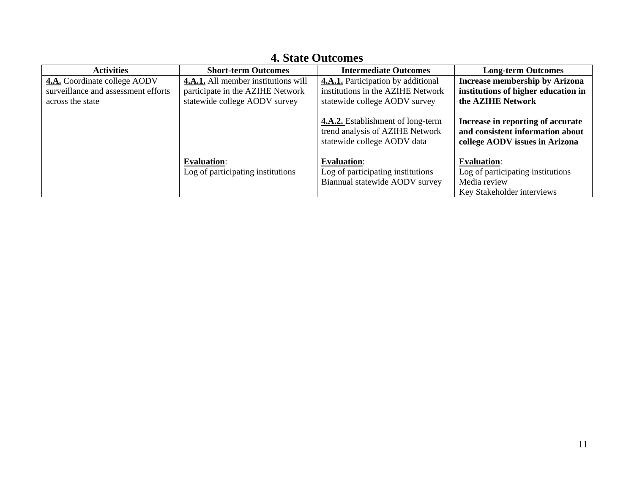| <b>Activities</b>                                                          | <b>Short-term Outcomes</b>                                              | <b>Intermediate Outcomes</b>                                                                        | <b>Long-term Outcomes</b>                                                                               |
|----------------------------------------------------------------------------|-------------------------------------------------------------------------|-----------------------------------------------------------------------------------------------------|---------------------------------------------------------------------------------------------------------|
| <b>4.A.</b> Coordinate college AODV<br>surveillance and assessment efforts | 4.A.1. All member institutions will<br>participate in the AZIHE Network | <b>4.A.1.</b> Participation by additional<br>institutions in the AZIHE Network                      | <b>Increase membership by Arizona</b><br>institutions of higher education in                            |
| across the state                                                           | statewide college AODV survey                                           | statewide college AODV survey                                                                       | the AZIHE Network                                                                                       |
|                                                                            |                                                                         | 4.A.2. Establishment of long-term<br>trend analysis of AZIHE Network<br>statewide college AODV data | Increase in reporting of accurate<br>and consistent information about<br>college AODV issues in Arizona |
|                                                                            | <b>Evaluation:</b><br>Log of participating institutions                 | <b>Evaluation:</b><br>Log of participating institutions<br>Biannual statewide AODV survey           | <b>Evaluation:</b><br>Log of participating institutions<br>Media review<br>Key Stakeholder interviews   |

## **4. State Outcomes**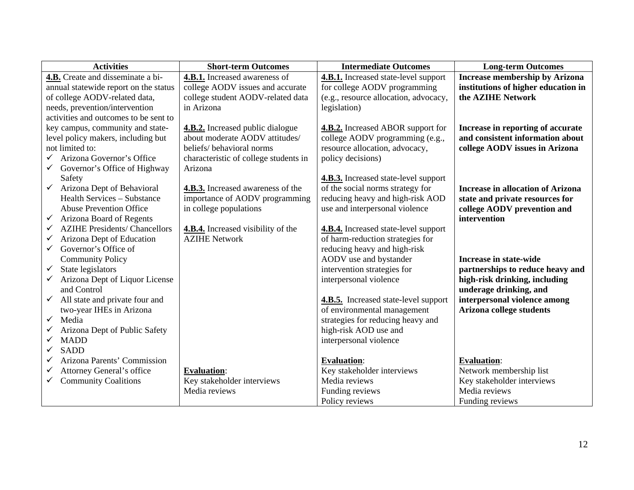| <b>Activities</b>                                    | <b>Short-term Outcomes</b>               | <b>Intermediate Outcomes</b>                | <b>Long-term Outcomes</b>                |
|------------------------------------------------------|------------------------------------------|---------------------------------------------|------------------------------------------|
| 4.B. Create and disseminate a bi-                    | 4.B.1. Increased awareness of            | 4.B.1. Increased state-level support        | <b>Increase membership by Arizona</b>    |
| annual statewide report on the status                | college AODV issues and accurate         | for college AODV programming                | institutions of higher education in      |
| of college AODV-related data,                        | college student AODV-related data        | (e.g., resource allocation, advocacy,       | the <b>AZIHE</b> Network                 |
| needs, prevention/intervention                       | in Arizona                               | legislation)                                |                                          |
| activities and outcomes to be sent to                |                                          |                                             |                                          |
| key campus, community and state-                     | <b>4.B.2.</b> Increased public dialogue  | <b>4.B.2.</b> Increased ABOR support for    | Increase in reporting of accurate        |
| level policy makers, including but                   | about moderate AODV attitudes/           | college AODV programming (e.g.,             | and consistent information about         |
| not limited to:                                      | beliefs/ behavioral norms                | resource allocation, advocacy,              | college AODV issues in Arizona           |
| Arizona Governor's Office                            | characteristic of college students in    | policy decisions)                           |                                          |
| Governor's Office of Highway<br>$\checkmark$         | Arizona                                  |                                             |                                          |
| Safety                                               |                                          | <b>4.B.3.</b> Increased state-level support |                                          |
| $\checkmark$<br>Arizona Dept of Behavioral           | <b>4.B.3.</b> Increased awareness of the | of the social norms strategy for            | <b>Increase in allocation of Arizona</b> |
| <b>Health Services – Substance</b>                   | importance of AODV programming           | reducing heavy and high-risk AOD            | state and private resources for          |
| <b>Abuse Prevention Office</b>                       | in college populations                   | use and interpersonal violence              | college AODV prevention and              |
| Arizona Board of Regents<br>$\checkmark$             |                                          |                                             | intervention                             |
| <b>AZIHE Presidents/ Chancellors</b><br>$\checkmark$ | 4.B.4. Increased visibility of the       | 4.B.4. Increased state-level support        |                                          |
| Arizona Dept of Education<br>✓                       | <b>AZIHE Network</b>                     | of harm-reduction strategies for            |                                          |
| Governor's Office of<br>$\checkmark$                 |                                          | reducing heavy and high-risk                |                                          |
| <b>Community Policy</b>                              |                                          | AODV use and bystander                      | <b>Increase in state-wide</b>            |
| State legislators<br>$\checkmark$                    |                                          | intervention strategies for                 | partnerships to reduce heavy and         |
| Arizona Dept of Liquor License<br>$\checkmark$       |                                          | interpersonal violence                      | high-risk drinking, including            |
| and Control                                          |                                          |                                             | underage drinking, and                   |
| $\checkmark$<br>All state and private four and       |                                          | 4.B.5. Increased state-level support        | interpersonal violence among             |
| two-year IHEs in Arizona                             |                                          | of environmental management                 | <b>Arizona college students</b>          |
| Media<br>$\checkmark$                                |                                          | strategies for reducing heavy and           |                                          |
| Arizona Dept of Public Safety                        |                                          | high-risk AOD use and                       |                                          |
| <b>MADD</b><br>$\checkmark$                          |                                          | interpersonal violence                      |                                          |
| <b>SADD</b><br>$\checkmark$                          |                                          |                                             |                                          |
| Arizona Parents' Commission<br>✓                     |                                          | <b>Evaluation:</b>                          | <b>Evaluation:</b>                       |
| Attorney General's office<br>✓                       | <b>Evaluation:</b>                       | Key stakeholder interviews                  | Network membership list                  |
| <b>Community Coalitions</b><br>$\checkmark$          | Key stakeholder interviews               | Media reviews                               | Key stakeholder interviews               |
|                                                      | Media reviews                            | Funding reviews                             | Media reviews                            |
|                                                      |                                          | Policy reviews                              | Funding reviews                          |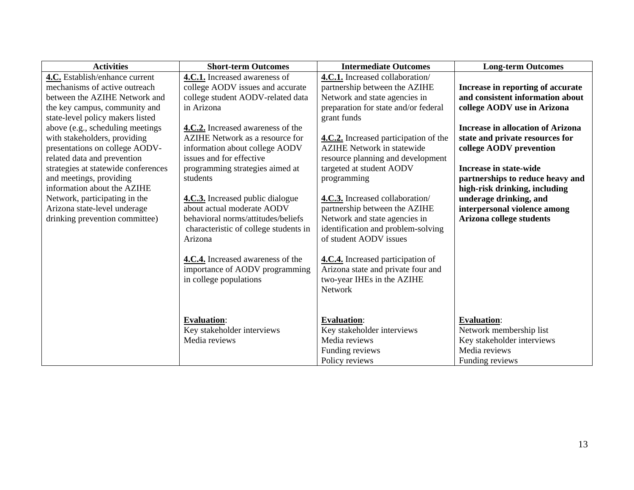| <b>Activities</b>                   | <b>Short-term Outcomes</b>            | <b>Intermediate Outcomes</b>          | <b>Long-term Outcomes</b>                |
|-------------------------------------|---------------------------------------|---------------------------------------|------------------------------------------|
| 4.C. Establish/enhance current      | 4.C.1. Increased awareness of         | 4.C.1. Increased collaboration/       |                                          |
| mechanisms of active outreach       | college AODV issues and accurate      | partnership between the AZIHE         | Increase in reporting of accurate        |
| between the AZIHE Network and       | college student AODV-related data     | Network and state agencies in         | and consistent information about         |
| the key campus, community and       | in Arizona                            | preparation for state and/or federal  | college AODV use in Arizona              |
| state-level policy makers listed    |                                       | grant funds                           |                                          |
| above (e.g., scheduling meetings    | 4.C.2. Increased awareness of the     |                                       | <b>Increase in allocation of Arizona</b> |
| with stakeholders, providing        | AZIHE Network as a resource for       | 4.C.2. Increased participation of the | state and private resources for          |
| presentations on college AODV-      | information about college AODV        | <b>AZIHE Network in statewide</b>     | college AODV prevention                  |
| related data and prevention         | issues and for effective              | resource planning and development     |                                          |
| strategies at statewide conferences | programming strategies aimed at       | targeted at student AODV              | <b>Increase in state-wide</b>            |
| and meetings, providing             | students                              | programming                           | partnerships to reduce heavy and         |
| information about the AZIHE         |                                       |                                       | high-risk drinking, including            |
| Network, participating in the       | 4.C.3. Increased public dialogue      | 4.C.3. Increased collaboration/       | underage drinking, and                   |
| Arizona state-level underage        | about actual moderate AODV            | partnership between the AZIHE         | interpersonal violence among             |
| drinking prevention committee)      | behavioral norms/attitudes/beliefs    | Network and state agencies in         | Arizona college students                 |
|                                     | characteristic of college students in | identification and problem-solving    |                                          |
|                                     | Arizona                               | of student AODV issues                |                                          |
|                                     |                                       |                                       |                                          |
|                                     | 4.C.4. Increased awareness of the     | 4.C.4. Increased participation of     |                                          |
|                                     | importance of AODV programming        | Arizona state and private four and    |                                          |
|                                     | in college populations                | two-year IHEs in the AZIHE            |                                          |
|                                     |                                       | Network                               |                                          |
|                                     |                                       |                                       |                                          |
|                                     |                                       |                                       |                                          |
|                                     | <b>Evaluation:</b>                    | <b>Evaluation:</b>                    | <b>Evaluation:</b>                       |
|                                     | Key stakeholder interviews            | Key stakeholder interviews            | Network membership list                  |
|                                     | Media reviews                         | Media reviews                         | Key stakeholder interviews               |
|                                     |                                       | Funding reviews                       | Media reviews                            |
|                                     |                                       | Policy reviews                        | Funding reviews                          |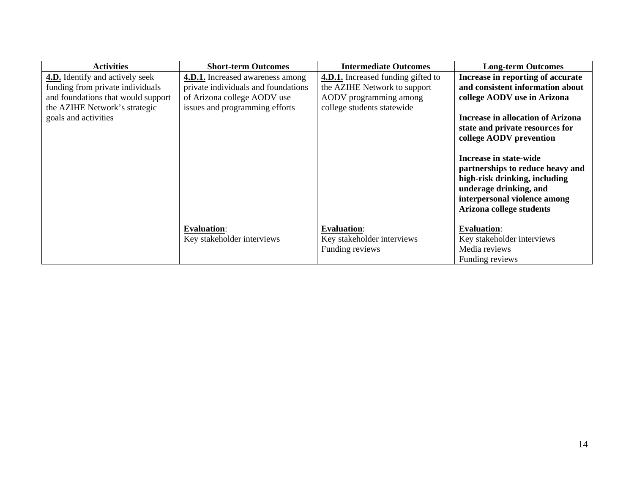| <b>Activities</b>                                                                                                                                                         | <b>Short-term Outcomes</b>                                                                                                                      | <b>Intermediate Outcomes</b>                                                                                                      | <b>Long-term Outcomes</b>                                                                                                                                                                                                                                                                                                                                                                           |
|---------------------------------------------------------------------------------------------------------------------------------------------------------------------------|-------------------------------------------------------------------------------------------------------------------------------------------------|-----------------------------------------------------------------------------------------------------------------------------------|-----------------------------------------------------------------------------------------------------------------------------------------------------------------------------------------------------------------------------------------------------------------------------------------------------------------------------------------------------------------------------------------------------|
| <b>4.D.</b> Identify and actively seek<br>funding from private individuals<br>and foundations that would support<br>the AZIHE Network's strategic<br>goals and activities | <b>4.D.1.</b> Increased awareness among<br>private individuals and foundations<br>of Arizona college AODV use<br>issues and programming efforts | <b>4.D.1.</b> Increased funding gifted to<br>the AZIHE Network to support<br>AODV programming among<br>college students statewide | Increase in reporting of accurate<br>and consistent information about<br>college AODV use in Arizona<br><b>Increase in allocation of Arizona</b><br>state and private resources for<br>college AODV prevention<br>Increase in state-wide<br>partnerships to reduce heavy and<br>high-risk drinking, including<br>underage drinking, and<br>interpersonal violence among<br>Arizona college students |
|                                                                                                                                                                           | <b>Evaluation:</b><br>Key stakeholder interviews                                                                                                | <b>Evaluation:</b><br>Key stakeholder interviews<br>Funding reviews                                                               | <b>Evaluation:</b><br>Key stakeholder interviews<br>Media reviews<br>Funding reviews                                                                                                                                                                                                                                                                                                                |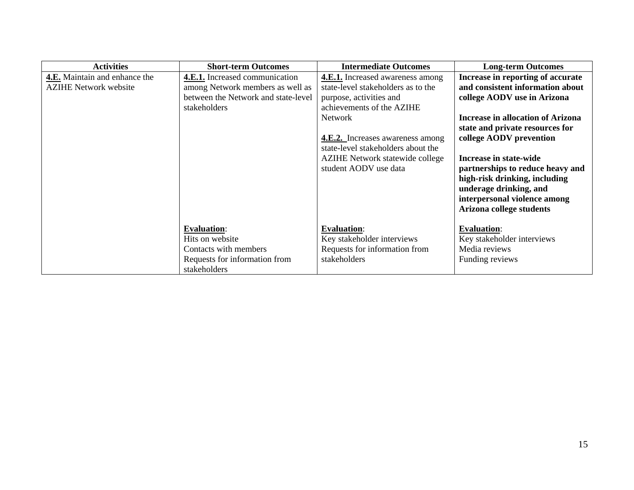| <b>Activities</b>             | <b>Short-term Outcomes</b>          | <b>Intermediate Outcomes</b>            | <b>Long-term Outcomes</b>                |
|-------------------------------|-------------------------------------|-----------------------------------------|------------------------------------------|
| 4.E. Maintain and enhance the | 4.E.1. Increased communication      | <b>4.E.1.</b> Increased awareness among | Increase in reporting of accurate        |
| <b>AZIHE Network website</b>  | among Network members as well as    | state-level stakeholders as to the      | and consistent information about         |
|                               | between the Network and state-level | purpose, activities and                 | college AODV use in Arizona              |
|                               | stakeholders                        | achievements of the AZIHE               |                                          |
|                               |                                     | Network                                 | <b>Increase in allocation of Arizona</b> |
|                               |                                     |                                         | state and private resources for          |
|                               |                                     | <b>4.E.2.</b> Increases awareness among | college AODV prevention                  |
|                               |                                     | state-level stakeholders about the      |                                          |
|                               |                                     | <b>AZIHE</b> Network statewide college  | Increase in state-wide                   |
|                               |                                     | student AODV use data                   | partnerships to reduce heavy and         |
|                               |                                     |                                         | high-risk drinking, including            |
|                               |                                     |                                         | underage drinking, and                   |
|                               |                                     |                                         | interpersonal violence among             |
|                               |                                     |                                         | Arizona college students                 |
|                               |                                     |                                         |                                          |
|                               | <b>Evaluation:</b>                  | <b>Evaluation:</b>                      | <b>Evaluation:</b>                       |
|                               | Hits on website                     | Key stakeholder interviews              | Key stakeholder interviews               |
|                               | Contacts with members               | Requests for information from           | Media reviews                            |
|                               | Requests for information from       | stakeholders                            | Funding reviews                          |
|                               | stakeholders                        |                                         |                                          |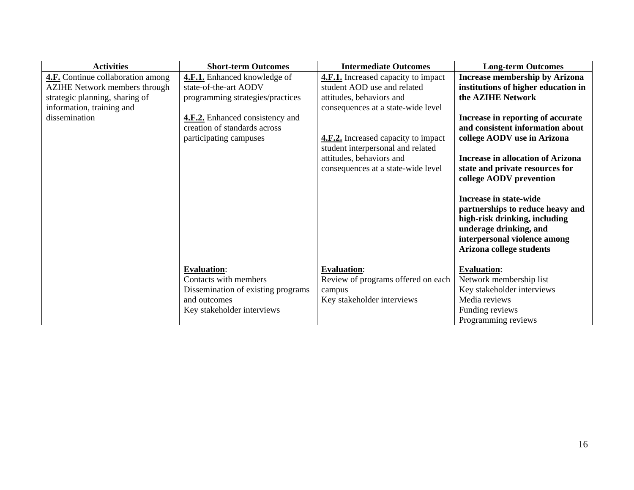| <b>Activities</b>                        | <b>Short-term Outcomes</b>             | <b>Intermediate Outcomes</b>               | <b>Long-term Outcomes</b>                                                                                                                                                         |
|------------------------------------------|----------------------------------------|--------------------------------------------|-----------------------------------------------------------------------------------------------------------------------------------------------------------------------------------|
| <b>4.F.</b> Continue collaboration among | <b>4.F.1.</b> Enhanced knowledge of    | <b>4.F.1.</b> Increased capacity to impact | <b>Increase membership by Arizona</b>                                                                                                                                             |
| <b>AZIHE Network members through</b>     | state-of-the-art AODV                  | student AOD use and related                | institutions of higher education in                                                                                                                                               |
| strategic planning, sharing of           | programming strategies/practices       | attitudes, behaviors and                   | the <b>AZIHE</b> Network                                                                                                                                                          |
| information, training and                |                                        | consequences at a state-wide level         |                                                                                                                                                                                   |
| dissemination                            | <b>4.F.2.</b> Enhanced consistency and |                                            | Increase in reporting of accurate                                                                                                                                                 |
|                                          | creation of standards across           |                                            | and consistent information about                                                                                                                                                  |
|                                          | participating campuses                 | <b>4.F.2.</b> Increased capacity to impact | college AODV use in Arizona                                                                                                                                                       |
|                                          |                                        | student interpersonal and related          |                                                                                                                                                                                   |
|                                          |                                        | attitudes, behaviors and                   | <b>Increase in allocation of Arizona</b>                                                                                                                                          |
|                                          |                                        | consequences at a state-wide level         | state and private resources for                                                                                                                                                   |
|                                          |                                        |                                            | college AODV prevention                                                                                                                                                           |
|                                          |                                        |                                            | Increase in state-wide<br>partnerships to reduce heavy and<br>high-risk drinking, including<br>underage drinking, and<br>interpersonal violence among<br>Arizona college students |
|                                          | <b>Evaluation:</b>                     | <b>Evaluation:</b>                         | <b>Evaluation:</b>                                                                                                                                                                |
|                                          | Contacts with members                  | Review of programs offered on each         | Network membership list                                                                                                                                                           |
|                                          | Dissemination of existing programs     | campus                                     | Key stakeholder interviews                                                                                                                                                        |
|                                          | and outcomes                           | Key stakeholder interviews                 | Media reviews                                                                                                                                                                     |
|                                          | Key stakeholder interviews             |                                            | Funding reviews                                                                                                                                                                   |
|                                          |                                        |                                            | Programming reviews                                                                                                                                                               |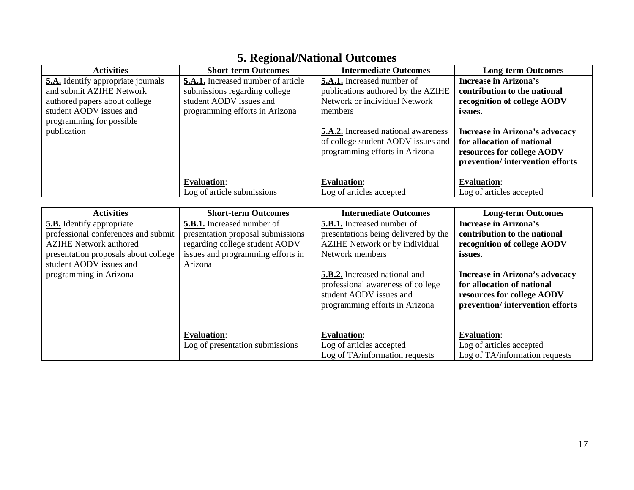| <b>Activities</b>                                                  | <b>Short-term Outcomes</b>                | <b>Intermediate Outcomes</b>                                                                                                  | <b>Long-term Outcomes</b>                                                                                                                |
|--------------------------------------------------------------------|-------------------------------------------|-------------------------------------------------------------------------------------------------------------------------------|------------------------------------------------------------------------------------------------------------------------------------------|
| 5.A. Identify appropriate journals                                 | <b>5.A.1.</b> Increased number of article | <b>5.A.1.</b> Increased number of                                                                                             | <b>Increase in Arizona's</b>                                                                                                             |
| and submit AZIHE Network                                           | submissions regarding college             | publications authored by the AZIHE                                                                                            | contribution to the national                                                                                                             |
| authored papers about college                                      | student AODV issues and                   | Network or individual Network                                                                                                 | recognition of college AODV                                                                                                              |
| student AODV issues and<br>programming for possible<br>publication | programming efforts in Arizona            | members<br><b>5.A.2.</b> Increased national awareness<br>of college student AODV issues and<br>programming efforts in Arizona | issues.<br>Increase in Arizona's advocacy<br>for allocation of national<br>resources for college AODV<br>prevention/intervention efforts |
|                                                                    | <b>Evaluation:</b>                        | <b>Evaluation:</b>                                                                                                            | <b>Evaluation:</b>                                                                                                                       |
|                                                                    | Log of article submissions                | Log of articles accepted                                                                                                      | Log of articles accepted                                                                                                                 |

### **5. Regional/National Outcomes**

| <b>Activities</b>                    | <b>Short-term Outcomes</b>        | <b>Intermediate Outcomes</b>                              | <b>Long-term Outcomes</b>                                     |
|--------------------------------------|-----------------------------------|-----------------------------------------------------------|---------------------------------------------------------------|
| <b>5.B.</b> Identify appropriate     | <b>5.B.1.</b> Increased number of | <b>5.B.1.</b> Increased number of                         | <b>Increase in Arizona's</b>                                  |
| professional conferences and submit  | presentation proposal submissions | presentations being delivered by the                      | contribution to the national                                  |
| <b>AZIHE Network authored</b>        | regarding college student AODV    | AZIHE Network or by individual                            | recognition of college AODV                                   |
| presentation proposals about college | issues and programming efforts in | Network members                                           | issues.                                                       |
| student AODV issues and              | Arizona                           |                                                           |                                                               |
| programming in Arizona               |                                   | <b>5.B.2.</b> Increased national and                      | Increase in Arizona's advocacy                                |
|                                      |                                   | professional awareness of college                         | for allocation of national                                    |
|                                      |                                   | student AODV issues and<br>programming efforts in Arizona | resources for college AODV<br>prevention/intervention efforts |
|                                      |                                   |                                                           |                                                               |
|                                      |                                   |                                                           |                                                               |
|                                      | <b>Evaluation:</b>                | <b>Evaluation:</b>                                        | <b>Evaluation:</b>                                            |
|                                      | Log of presentation submissions   | Log of articles accepted                                  | Log of articles accepted                                      |
|                                      |                                   | Log of TA/information requests                            | Log of TA/information requests                                |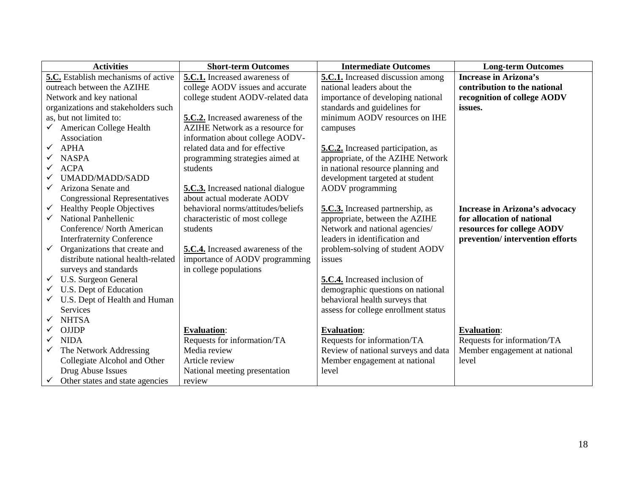| <b>Activities</b>                                | <b>Short-term Outcomes</b>                | <b>Intermediate Outcomes</b>            | <b>Long-term Outcomes</b>       |
|--------------------------------------------------|-------------------------------------------|-----------------------------------------|---------------------------------|
| 5.C. Establish mechanisms of active              | 5.C.1. Increased awareness of             | 5.C.1. Increased discussion among       | <b>Increase in Arizona's</b>    |
| outreach between the AZIHE                       | college AODV issues and accurate          | national leaders about the              | contribution to the national    |
| Network and key national                         | college student AODV-related data         | importance of developing national       | recognition of college AODV     |
| organizations and stakeholders such              |                                           | standards and guidelines for            | issues.                         |
| as, but not limited to:                          | 5.C.2. Increased awareness of the         | minimum AODV resources on IHE           |                                 |
| American College Health<br>$\checkmark$          | AZIHE Network as a resource for           | campuses                                |                                 |
| Association                                      | information about college AODV-           |                                         |                                 |
| <b>APHA</b><br>$\checkmark$                      | related data and for effective            | 5.C.2. Increased participation, as      |                                 |
| <b>NASPA</b>                                     | programming strategies aimed at           | appropriate, of the AZIHE Network       |                                 |
| <b>ACPA</b><br>✓                                 | students                                  | in national resource planning and       |                                 |
| UMADD/MADD/SADD                                  |                                           | development targeted at student         |                                 |
| Arizona Senate and<br>✓                          | <b>5.C.3.</b> Increased national dialogue | <b>AODV</b> programming                 |                                 |
| <b>Congressional Representatives</b>             | about actual moderate AODV                |                                         |                                 |
| <b>Healthy People Objectives</b><br>$\checkmark$ | behavioral norms/attitudes/beliefs        | <b>5.C.3.</b> Increased partnership, as | Increase in Arizona's advocacy  |
| <b>National Panhellenic</b>                      | characteristic of most college            | appropriate, between the AZIHE          | for allocation of national      |
| Conference/ North American                       | students                                  | Network and national agencies/          | resources for college AODV      |
| <b>Interfraternity Conference</b>                |                                           | leaders in identification and           | prevention/intervention efforts |
| Organizations that create and<br>$\checkmark$    | 5.C.4. Increased awareness of the         | problem-solving of student AODV         |                                 |
| distribute national health-related               | importance of AODV programming            | issues                                  |                                 |
| surveys and standards                            | in college populations                    |                                         |                                 |
| $\checkmark$ U.S. Surgeon General                |                                           | 5.C.4. Increased inclusion of           |                                 |
| U.S. Dept of Education                           |                                           | demographic questions on national       |                                 |
| U.S. Dept of Health and Human                    |                                           | behavioral health surveys that          |                                 |
| Services                                         |                                           | assess for college enrollment status    |                                 |
| <b>NHTSA</b>                                     |                                           |                                         |                                 |
| <b>OJJDP</b>                                     | <b>Evaluation:</b>                        | <b>Evaluation:</b>                      | <b>Evaluation:</b>              |
| <b>NIDA</b>                                      | Requests for information/TA               | Requests for information/TA             | Requests for information/TA     |
| The Network Addressing<br>$\checkmark$           | Media review                              | Review of national surveys and data     | Member engagement at national   |
| Collegiate Alcohol and Other                     | Article review                            | Member engagement at national           | level                           |
| Drug Abuse Issues                                | National meeting presentation             | level                                   |                                 |
| Other states and state agencies                  | review                                    |                                         |                                 |